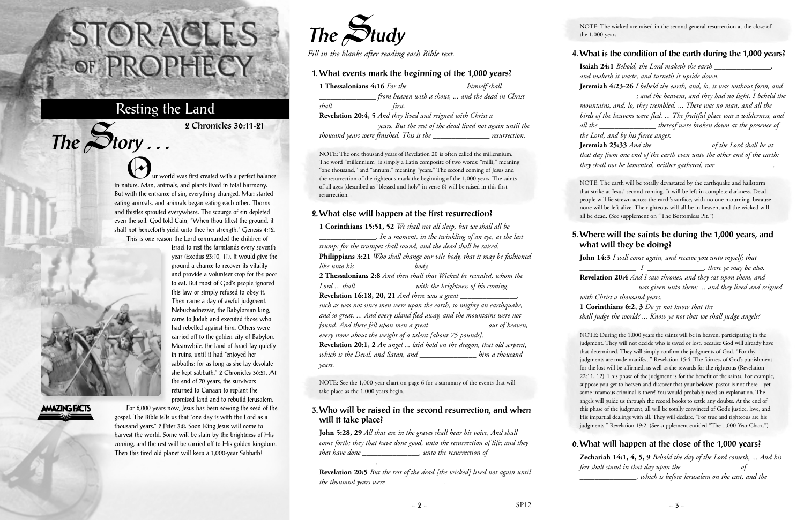ur world was first created with a perfect balance in nature. Man, animals, and plants lived in total harmony. But with the entrance of sin, everything changed. Man started eating animals, and animals began eating each other. Thorns and thistles sprouted everywhere. The scourge of sin depleted even the soil. God told Cain, "When thou tillest the ground, it shall not henceforth yield unto thee her strength." Genesis 4:12. This is one reason the Lord commanded the children of

> Israel to rest the farmlands every seventh year (Exodus 23:10, 11). It would give the ground a chance to recover its vitality and provide a volunteer crop for the poor to eat. But most of God's people ignored this law or simply refused to obey it. Then came a day of awful judgment. Nebuchadnezzar, the Babylonian king, came to Judah and executed those who had rebelled against him. Others were carried off to the golden city of Babylon. Meanwhile, the land of Israel lay quietly in ruins, until it had "enjoyed her sabbaths: for as long as she lay desolate she kept sabbath." 2 Chronicles 36:21. At the end of 70 years, the survivors returned to Canaan to replant the



 $The$  $S$ **tory** ...

**AMAZING FACTS** 

For 6,000 years now, Jesus has been sowing the seed of the gospel. The Bible tells us that "one day is with the Lord as a thousand years." 2 Peter 3:8. Soon King Jesus will come to harvest the world. Some will be slain by the brightness of His coming, and the rest will be carried off to His golden kingdom. Then this tired old planet will keep a 1,000-year Sabbath!

# STORACLES -OF PROPHECY

## Resting the Land

**2 Chronicles 36:11-21**



*Fill in the blanks after reading each Bible text.*

## **1. What events mark the beginning of the 1,000 years?**

| 1 Thessalonians 4:16 For the                                | himself shall                                     |
|-------------------------------------------------------------|---------------------------------------------------|
|                                                             | from heaven with a shout,  and the dead in Christ |
| shall<br>first.                                             |                                                   |
| Revelation 20:4, 5 And they lived and reigned with Christ a |                                                   |
| years. But the rest of the dead lived not again until the   |                                                   |
| thousand years were finished. This is the                   | resurrection.                                     |

NOTE: The one thousand years of Revelation 20 is often called the millennium. The word "millennium" is simply a Latin composite of two words: "milli," meaning "one thousand," and "annum," meaning "years." The second coming of Jesus and the resurrection of the righteous mark the beginning of the 1,000 years. The saints of all ages (described as "blessed and holy" in verse 6) will be raised in this first resurrection.

## **2. What else will happen at the first resurrection?**

**1 Corinthians 15:51, 52** *We shall not all sleep, but we shall all be \_\_\_\_\_\_\_\_\_\_\_\_\_\_\_, In a moment, in the twinkling of an eye, at the last trump: for the trumpet shall sound, and the dead shall be raised.* **Philippians 3:21** *Who shall change our vile body, that it may be fashioned like unto his \_\_\_\_\_\_\_\_\_\_\_\_\_\_\_ body.* **2 Thessalonians 2:8** *And then shall that Wicked be revealed, whom the Lord ... shall \_\_\_\_\_\_\_\_\_\_\_\_\_\_\_ with the brightness of his coming.* **Revelation 16:18, 20, 21** *And there was a great \_\_\_\_\_\_\_\_\_\_\_\_\_\_\_, such as was not since men were upon the earth, so mighty an earthquake, and so great. ... And every island fled away, and the mountains were not found. And there fell upon men a great \_\_\_\_\_\_\_\_\_\_\_\_\_\_\_ out of heaven, every stone about the weight of a talent [about 75 pounds].* **Revelation 20:1, 2** *An angel ... laid hold on the dragon, that old serpent, which is the Devil, and Satan, and \_\_\_\_\_\_\_\_\_\_\_\_\_\_\_ him a thousand years.*

NOTE: See the 1,000-year chart on page 6 for a summary of the events that will take place as the 1,000 years begin.

#### **3. Who will be raised in the second resurrection, and when will it take place?**

**John 5:28, 29** *All that are in the graves shall hear his voice, And shall come forth; they that have done good, unto the resurrection of life; and they that have done \_\_\_\_\_\_\_\_\_\_\_\_\_\_\_, unto the resurrection of*

*\_\_\_\_\_\_\_\_\_\_\_\_\_\_\_.*

**Revelation 20:5** *But the rest of the dead [the wicked] lived not again until the thousand years were \_\_\_\_\_\_\_\_\_\_\_\_\_\_\_.*

NOTE: The wicked are raised in the second general resurrection at the close of the 1,000 years.

#### **4. What is the condition of the earth during the 1,000 years?**

**Isaiah 24:1** *Behold, the Lord maketh the earth \_\_\_\_\_\_\_\_\_\_\_\_\_\_\_, and maketh it waste, and turneth it upside down.* **Jeremiah 4:23-26** *I beheld the earth, and, lo, it was without form, and \_\_\_\_\_\_\_\_\_\_\_\_\_\_\_; and the heavens, and they had no light. I beheld the mountains, and, lo, they trembled. ... There was no man, and all the birds of the heavens were fled. ... The fruitful place was a wilderness, and all the \_\_\_\_\_\_\_\_\_\_\_\_\_\_\_ thereof were broken down at the presence of the Lord, and by his fierce anger.*

**Jeremiah 25:33** *And the \_\_\_\_\_\_\_\_\_\_\_\_\_\_\_ of the Lord shall be at that day from one end of the earth even unto the other end of the earth: they shall not be lamented, neither gathered, nor \_\_\_\_\_\_\_\_\_\_\_\_\_\_\_.*

NOTE: The earth will be totally devastated by the earthquake and hailstorm that strike at Jesus' second coming. It will be left in complete darkness. Dead people will lie strewn across the earth's surface, with no one mourning, because none will be left alive. The righteous will all be in heaven, and the wicked will all be dead. (See supplement on "The Bottomless Pit.")

#### **5. Where will the saints be during the 1,000 years, and what will they be doing?**

**John 14:3** *I will come again, and receive you unto myself; that I \_\_\_\_\_\_\_\_\_\_\_\_\_\_\_, there ye may be also.* **Revelation 20:4** *And I saw thrones, and they sat upon them, and \_\_\_\_\_\_\_\_\_\_\_\_\_\_\_ was given unto them: ... and they lived and reigned with Christ a thousand years.*

**1 Corinthians 6:2, 3** *Do ye not know that the \_\_\_\_\_\_\_\_\_\_\_\_\_\_\_ shall judge the world? ... Know ye not that we shall judge angels?*

NOTE: During the 1,000 years the saints will be in heaven, participating in the judgment. They will not decide who is saved or lost, because God will already have that determined. They will simply confirm the judgments of God. "For thy judgments are made manifest." Revelation 15:4. The fairness of God's punishment for the lost will be affirmed, as well as the rewards for the righteous (Revelation 22:11, 12). This phase of the judgment is for the benefit of the saints. For example, suppose you get to heaven and discover that your beloved pastor is not there—yet some infamous criminal is there! You would probably need an explanation. The angels will guide us through the record books to settle any doubts. At the end of this phase of the judgment, all will be totally convinced of God's justice, love, and His impartial dealings with all. They will declare, "For true and righteous are his judgments." Revelation 19:2. (See supplement entitled "The 1,000-Year Chart.")

**6. What will happen at the close of the 1,000 years? Zechariah 14:1, 4, 5, 9** *Behold the day of the Lord cometh, ... And his feet shall stand in that day upon the \_\_\_\_\_\_\_\_\_\_\_\_\_\_\_ of \_\_\_\_\_\_\_\_\_\_\_\_\_\_\_, which is before Jerusalem on the east, and the*